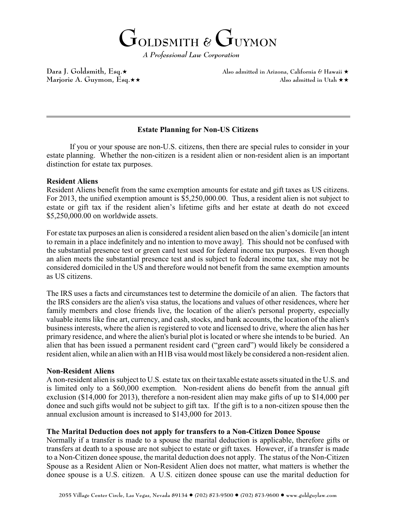**GOLDSMITH &GUYMON**

*A Professional Law Corporation* 

Dara J. Goldsmith, Esq. $\star$  Also admitted in Arizona, California & Hawaii  $\star$ Marjorie A. Guymon, Esq. $\star \star$   $\star$ 

## **Estate Planning for Non-US Citizens**

If you or your spouse are non-U.S. citizens, then there are special rules to consider in your estate planning. Whether the non-citizen is a resident alien or non-resident alien is an important distinction for estate tax purposes.

## **Resident Aliens**

 $\overline{a}$ 

Resident Aliens benefit from the same exemption amounts for estate and gift taxes as US citizens. For 2013, the unified exemption amount is \$5,250,000.00. Thus, a resident alien is not subject to estate or gift tax if the resident alien's lifetime gifts and her estate at death do not exceed \$5,250,000.00 on worldwide assets.

For estate tax purposes an alien is considered a resident alien based on the alien's domicile [an intent to remain in a place indefinitely and no intention to move away]. This should not be confused with the substantial presence test or green card test used for federal income tax purposes. Even though an alien meets the substantial presence test and is subject to federal income tax, she may not be considered domiciled in the US and therefore would not benefit from the same exemption amounts as US citizens.

The IRS uses a facts and circumstances test to determine the domicile of an alien. The factors that the IRS considers are the alien's visa status, the locations and values of other residences, where her family members and close friends live, the location of the alien's personal property, especially valuable items like fine art, currency, and cash, stocks, and bank accounts, the location of the alien's business interests, where the alien is registered to vote and licensed to drive, where the alien has her primary residence, and where the alien's burial plot is located or where she intends to be buried. An alien that has been issued a permanent resident card ("green card") would likely be considered a resident alien, while an alien with an H1B visa would most likely be considered a non-resident alien.

## **Non-Resident Aliens**

A non-resident alien is subject to U.S. estate tax on their taxable estate assets situated in the U.S. and is limited only to a \$60,000 exemption. Non-resident aliens do benefit from the annual gift exclusion (\$14,000 for 2013), therefore a non-resident alien may make gifts of up to \$14,000 per donee and such gifts would not be subject to gift tax. If the gift is to a non-citizen spouse then the annual exclusion amount is increased to \$143,000 for 2013.

## **The Marital Deduction does not apply for transfers to a Non-Citizen Donee Spouse**

Normally if a transfer is made to a spouse the marital deduction is applicable, therefore gifts or transfers at death to a spouse are not subject to estate or gift taxes. However, if a transfer is made to a Non-Citizen donee spouse, the marital deduction does not apply. The status of the Non-Citizen Spouse as a Resident Alien or Non-Resident Alien does not matter, what matters is whether the donee spouse is a U.S. citizen. A U.S. citizen donee spouse can use the marital deduction for